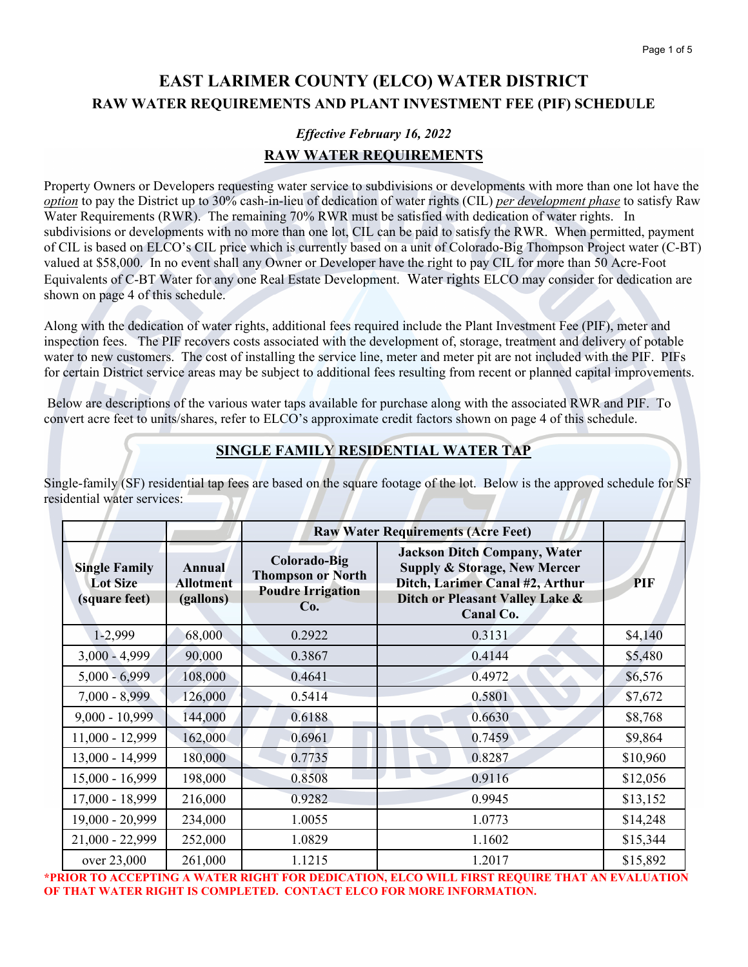# **EAST LARIMER COUNTY (ELCO) WATER DISTRICT RAW WATER REQUIREMENTS AND PLANT INVESTMENT FEE (PIF) SCHEDULE**

# *Effective February 16, 2022*  **RAW WATER REQUIREMENTS**

Property Owners or Developers requesting water service to subdivisions or developments with more than one lot have the *option* to pay the District up to 30% cash-in-lieu of dedication of water rights (CIL) *per development phase* to satisfy Raw Water Requirements (RWR). The remaining 70% RWR must be satisfied with dedication of water rights. In subdivisions or developments with no more than one lot, CIL can be paid to satisfy the RWR. When permitted, payment of CIL is based on ELCO's CIL price which is currently based on a unit of Colorado-Big Thompson Project water (C-BT) valued at \$58,000. In no event shall any Owner or Developer have the right to pay CIL for more than 50 Acre-Foot Equivalents of C-BT Water for any one Real Estate Development. Water rights ELCO may consider for dedication are shown on page 4 of this schedule.

Along with the dedication of water rights, additional fees required include the Plant Investment Fee (PIF), meter and inspection fees. The PIF recovers costs associated with the development of, storage, treatment and delivery of potable water to new customers. The cost of installing the service line, meter and meter pit are not included with the PIF. PIFs for certain District service areas may be subject to additional fees resulting from recent or planned capital improvements.

 Below are descriptions of the various water taps available for purchase along with the associated RWR and PIF. To convert acre feet to units/shares, refer to ELCO's approximate credit factors shown on page 4 of this schedule.

## **SINGLE FAMILY RESIDENTIAL WATER TAP**

Single-family (SF) residential tap fees are based on the square footage of the lot. Below is the approved schedule for SF residential water services:

|                                                          |                                         | <b>Raw Water Requirements (Acre Feet)</b>                                   |                                                                                                                                                                   |          |
|----------------------------------------------------------|-----------------------------------------|-----------------------------------------------------------------------------|-------------------------------------------------------------------------------------------------------------------------------------------------------------------|----------|
| <b>Single Family</b><br><b>Lot Size</b><br>(square feet) | Annual<br><b>Allotment</b><br>(gallons) | Colorado-Big<br><b>Thompson or North</b><br><b>Poudre Irrigation</b><br>Co. | <b>Jackson Ditch Company, Water</b><br><b>Supply &amp; Storage, New Mercer</b><br>Ditch, Larimer Canal #2, Arthur<br>Ditch or Pleasant Valley Lake &<br>Canal Co. | PIF      |
| 1-2,999                                                  | 68,000                                  | 0.2922                                                                      | 0.3131                                                                                                                                                            | \$4,140  |
| $3,000 - 4,999$                                          | 90,000                                  | 0.3867                                                                      | 0.4144                                                                                                                                                            | \$5,480  |
| $5,000 - 6,999$                                          | 108,000                                 | 0.4641                                                                      | 0.4972                                                                                                                                                            | \$6,576  |
| $7,000 - 8,999$                                          | 126,000                                 | 0.5414                                                                      | 0.5801                                                                                                                                                            | \$7,672  |
| $9,000 - 10,999$                                         | 144,000                                 | 0.6188                                                                      | 0.6630                                                                                                                                                            | \$8,768  |
| 11,000 - 12,999                                          | 162,000                                 | 0.6961                                                                      | 0.7459                                                                                                                                                            | \$9,864  |
| 13,000 - 14,999                                          | 180,000                                 | 0.7735                                                                      | 0.8287                                                                                                                                                            | \$10,960 |
| 15,000 - 16,999                                          | 198,000                                 | 0.8508                                                                      | 0.9116                                                                                                                                                            | \$12,056 |
| 17,000 - 18,999                                          | 216,000                                 | 0.9282                                                                      | 0.9945                                                                                                                                                            | \$13,152 |
| 19,000 - 20,999                                          | 234,000                                 | 1.0055                                                                      | 1.0773                                                                                                                                                            | \$14,248 |
| $21,000 - 22,999$                                        | 252,000                                 | 1.0829                                                                      | 1.1602                                                                                                                                                            | \$15,344 |
| over 23,000                                              | 261,000                                 | 1.1215                                                                      | 1.2017                                                                                                                                                            | \$15,892 |

**\*PRIOR TO ACCEPTING A WATER RIGHT FOR DEDICATION, ELCO WILL FIRST REQUIRE THAT AN EVALUATION OF THAT WATER RIGHT IS COMPLETED. CONTACT ELCO FOR MORE INFORMATION.**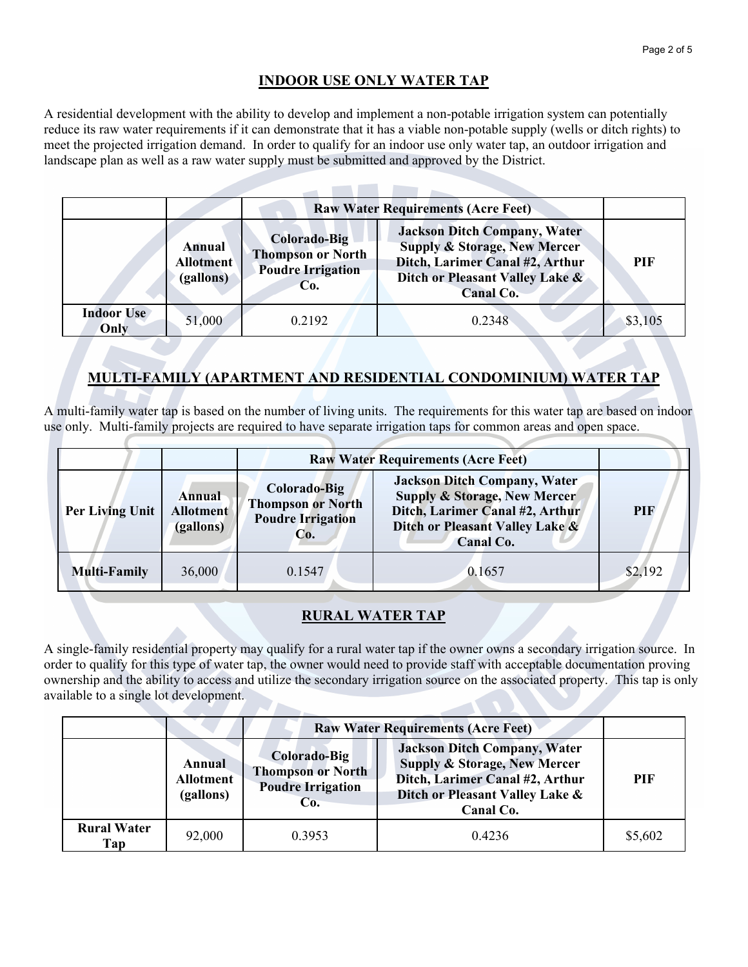### **INDOOR USE ONLY WATER TAP**

A residential development with the ability to develop and implement a non-potable irrigation system can potentially reduce its raw water requirements if it can demonstrate that it has a viable non-potable supply (wells or ditch rights) to meet the projected irrigation demand. In order to qualify for an indoor use only water tap, an outdoor irrigation and landscape plan as well as a raw water supply must be submitted and approved by the District.

|                                                                                                                                      |        | <b>Raw Water Requirements (Acre Feet)</b>                                                                                                                                |        |         |
|--------------------------------------------------------------------------------------------------------------------------------------|--------|--------------------------------------------------------------------------------------------------------------------------------------------------------------------------|--------|---------|
| <b>Colorado-Big</b><br><b>Annual</b><br><b>Thompson or North</b><br><b>Allotment</b><br><b>Poudre Irrigation</b><br>(gallons)<br>Co. |        | <b>Jackson Ditch Company, Water</b><br><b>Supply &amp; Storage, New Mercer</b><br>Ditch, Larimer Canal #2, Arthur<br>Ditch or Pleasant Valley Lake &<br><b>Canal Co.</b> | PIF    |         |
| <b>Indoor Use</b><br>Only                                                                                                            | 51,000 | 0.2192                                                                                                                                                                   | 0.2348 | \$3,105 |

### **MULTI-FAMILY (APARTMENT AND RESIDENTIAL CONDOMINIUM) WATER TAP**

A multi-family water tap is based on the number of living units. The requirements for this water tap are based on indoor use only. Multi-family projects are required to have separate irrigation taps for common areas and open space.

|                        |                                                                                                                               | <b>Raw Water Requirements (Acre Feet)</b> |                                                                                                                                                                   |         |
|------------------------|-------------------------------------------------------------------------------------------------------------------------------|-------------------------------------------|-------------------------------------------------------------------------------------------------------------------------------------------------------------------|---------|
| <b>Per Living Unit</b> | Colorado-Big<br><b>Annual</b><br><b>Thompson or North</b><br><b>Allotment</b><br><b>Poudre Irrigation</b><br>(gallons)<br>Co. |                                           | <b>Jackson Ditch Company, Water</b><br><b>Supply &amp; Storage, New Mercer</b><br>Ditch, Larimer Canal #2, Arthur<br>Ditch or Pleasant Valley Lake &<br>Canal Co. | PIF     |
| <b>Multi-Family</b>    | 36,000                                                                                                                        | 0.1547                                    | 0.1657                                                                                                                                                            | \$2,192 |

#### **RURAL WATER TAP**

A single-family residential property may qualify for a rural water tap if the owner owns a secondary irrigation source. In order to qualify for this type of water tap, the owner would need to provide staff with acceptable documentation proving ownership and the ability to access and utilize the secondary irrigation source on the associated property. This tap is only available to a single lot development.

|                           |                                         | <b>Raw Water Requirements (Acre Feet)</b>                                   |                                                                                                                                                                   |            |
|---------------------------|-----------------------------------------|-----------------------------------------------------------------------------|-------------------------------------------------------------------------------------------------------------------------------------------------------------------|------------|
|                           | Annual<br><b>Allotment</b><br>(gallons) | Colorado-Big<br><b>Thompson or North</b><br><b>Poudre Irrigation</b><br>Co. | <b>Jackson Ditch Company, Water</b><br><b>Supply &amp; Storage, New Mercer</b><br>Ditch, Larimer Canal #2, Arthur<br>Ditch or Pleasant Valley Lake &<br>Canal Co. | <b>PIF</b> |
| <b>Rural Water</b><br>Tap | 92,000                                  | 0.3953                                                                      | 0.4236                                                                                                                                                            | \$5,602    |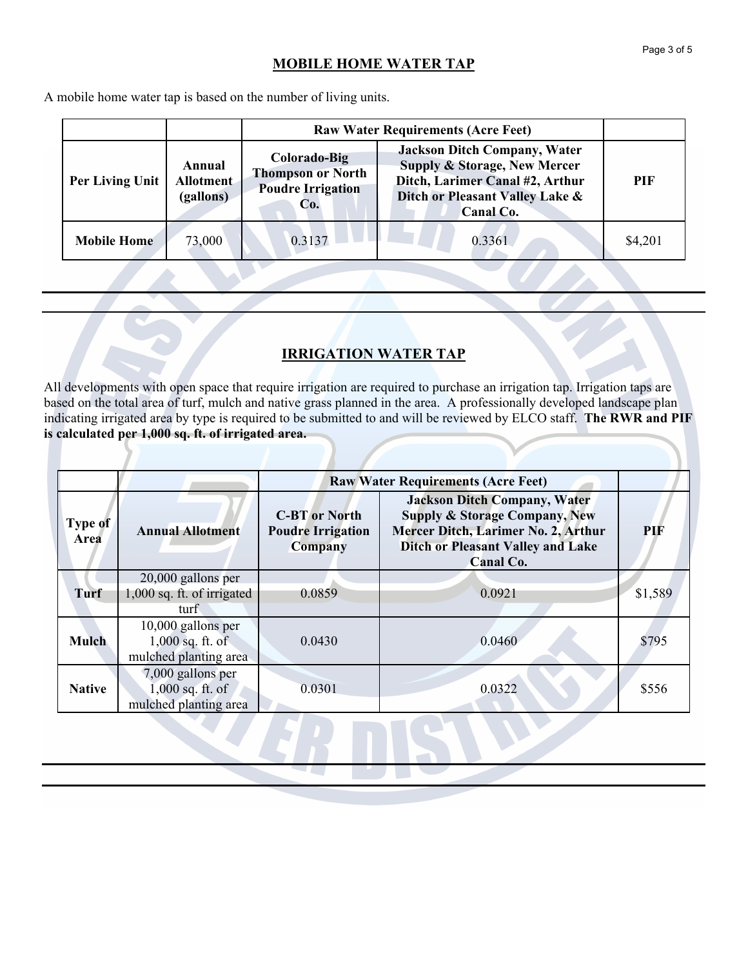### **MOBILE HOME WATER TAP**

A mobile home water tap is based on the number of living units.

|                                                                                                                                           |        | <b>Raw Water Requirements (Acre Feet)</b>                                                                                                                                |            |         |
|-------------------------------------------------------------------------------------------------------------------------------------------|--------|--------------------------------------------------------------------------------------------------------------------------------------------------------------------------|------------|---------|
| Colorado-Big<br>Annual<br><b>Thompson or North</b><br>Per Living Unit<br><b>Allotment</b><br><b>Poudre Irrigation</b><br>(gallons)<br>Co. |        | <b>Jackson Ditch Company, Water</b><br><b>Supply &amp; Storage, New Mercer</b><br>Ditch, Larimer Canal #2, Arthur<br>Ditch or Pleasant Valley Lake &<br><b>Canal Co.</b> | <b>PIF</b> |         |
| <b>Mobile Home</b>                                                                                                                        | 73,000 | 0.3137                                                                                                                                                                   | 0.3361     | \$4,201 |
|                                                                                                                                           |        |                                                                                                                                                                          |            |         |

#### **IRRIGATION WATER TAP**

All developments with open space that require irrigation are required to purchase an irrigation tap. Irrigation taps are based on the total area of turf, mulch and native grass planned in the area. A professionally developed landscape plan indicating irrigated area by type is required to be submitted to and will be reviewed by ELCO staff. **The RWR and PIF is calculated per 1,000 sq. ft. of irrigated area.**

|                 |                                                                   | <b>Raw Water Requirements (Acre Feet)</b>                          |                                                                                                                                                                                 |         |
|-----------------|-------------------------------------------------------------------|--------------------------------------------------------------------|---------------------------------------------------------------------------------------------------------------------------------------------------------------------------------|---------|
| Type of<br>Area | <b>Annual Allotment</b>                                           | <b>C-BT</b> or North<br><b>Poudre Irrigation</b><br><b>Company</b> | <b>Jackson Ditch Company, Water</b><br><b>Supply &amp; Storage Company, New</b><br>Mercer Ditch, Larimer No. 2, Arthur<br><b>Ditch or Pleasant Valley and Lake</b><br>Canal Co. | PIF     |
| Turf            | 20,000 gallons per<br>1,000 sq. ft. of irrigated<br>turf.         | 0.0859                                                             | 0.0921                                                                                                                                                                          | \$1,589 |
| <b>Mulch</b>    | 10,000 gallons per<br>$1,000$ sq. ft. of<br>mulched planting area | 0.0430                                                             | 0.0460                                                                                                                                                                          | \$795   |
| <b>Native</b>   | 7,000 gallons per<br>$1,000$ sq. ft. of<br>mulched planting area  | 0.0301                                                             | 0.0322                                                                                                                                                                          | \$556   |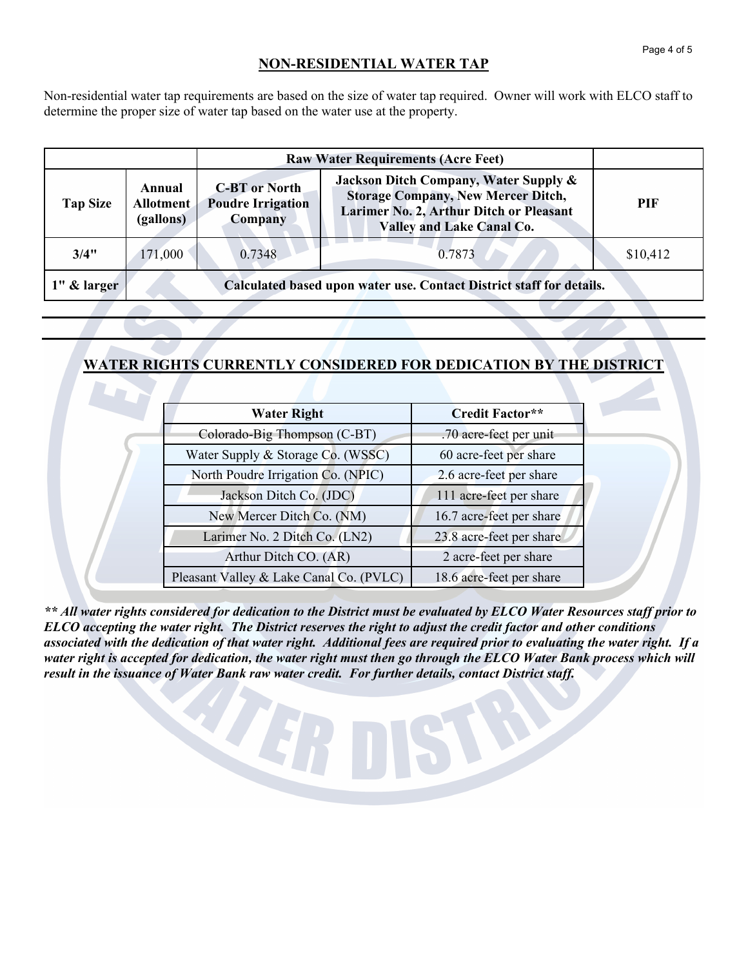### **NON-RESIDENTIAL WATER TAP**

Non-residential water tap requirements are based on the size of water tap required. Owner will work with ELCO staff to determine the proper size of water tap based on the water use at the property.

|                 |                                                                      | <b>Raw Water Requirements (Acre Feet)</b>                   |                                                                                                                                                                   |            |
|-----------------|----------------------------------------------------------------------|-------------------------------------------------------------|-------------------------------------------------------------------------------------------------------------------------------------------------------------------|------------|
| <b>Tap Size</b> | Annual<br><b>Allotment</b><br>(gallons)                              | <b>C-BT</b> or North<br><b>Poudre Irrigation</b><br>Company | Jackson Ditch Company, Water Supply &<br><b>Storage Company, New Mercer Ditch,</b><br>Larimer No. 2, Arthur Ditch or Pleasant<br><b>Valley and Lake Canal Co.</b> | <b>PIF</b> |
| 3/4"            | 171,000                                                              | 0.7348                                                      | 0.7873                                                                                                                                                            | \$10,412   |
| 1" & larger     | Calculated based upon water use. Contact District staff for details. |                                                             |                                                                                                                                                                   |            |

### **WATER RIGHTS CURRENTLY CONSIDERED FOR DEDICATION BY THE DISTRICT**

| <b>Water Right</b>                      | Credit Factor**          |
|-----------------------------------------|--------------------------|
| Colorado-Big Thompson (C-BT)            | .70 acre-feet per unit   |
| Water Supply & Storage Co. (WSSC)       | 60 acre-feet per share   |
| North Poudre Irrigation Co. (NPIC)      | 2.6 acre-feet per share  |
| Jackson Ditch Co. (JDC)                 | 111 acre-feet per share  |
| New Mercer Ditch Co. (NM)               | 16.7 acre-feet per share |
| Larimer No. 2 Ditch Co. (LN2)           | 23.8 acre-feet per share |
| Arthur Ditch CO. (AR)                   | 2 acre-feet per share    |
| Pleasant Valley & Lake Canal Co. (PVLC) | 18.6 acre-feet per share |

*\*\* All water rights considered for dedication to the District must be evaluated by ELCO Water Resources staff prior to ELCO accepting the water right. The District reserves the right to adjust the credit factor and other conditions associated with the dedication of that water right. Additional fees are required prior to evaluating the water right. If a*  water right is accepted for dedication, the water right must then go through the ELCO Water Bank process which will *result in the issuance of Water Bank raw water credit. For further details, contact District staff.*